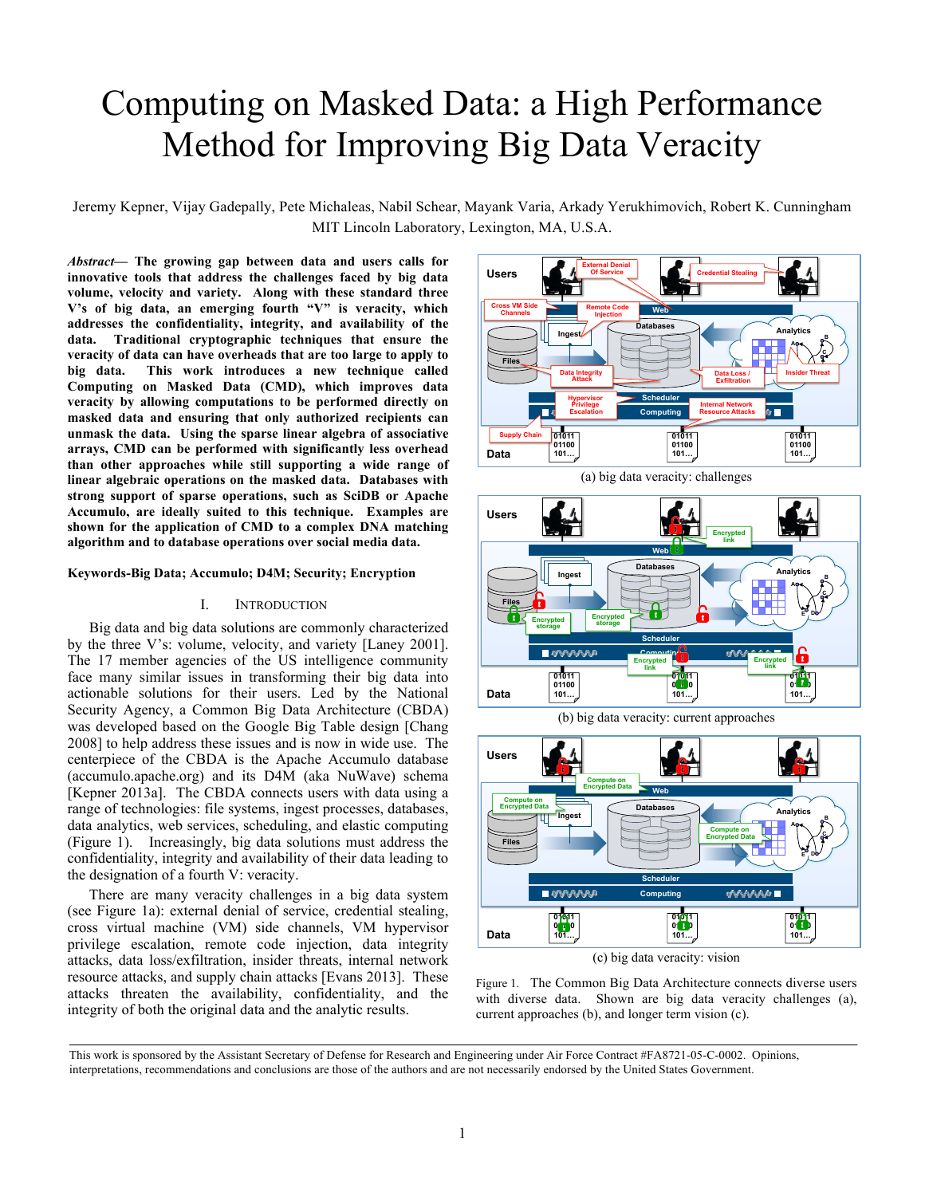# Computing on Masked Data: a High Performance Method for Improving Big Data Veracity

Jeremy Kepner, Vijay Gadepally, Pete Michaleas, Nabil Schear, Mayank Varia, Arkady Yerukhimovich, Robert K. Cunningham MIT Lincoln Laboratory, Lexington, MA, U.S.A.

*Abstract***— The growing gap between data and users calls for innovative tools that address the challenges faced by big data volume, velocity and variety. Along with these standard three V's of big data, an emerging fourth "V" is veracity, which addresses the confidentiality, integrity, and availability of the data. Traditional cryptographic techniques that ensure the veracity of data can have overheads that are too large to apply to big data. This work introduces a new technique called Computing on Masked Data (CMD), which improves data veracity by allowing computations to be performed directly on masked data and ensuring that only authorized recipients can unmask the data. Using the sparse linear algebra of associative arrays, CMD can be performed with significantly less overhead than other approaches while still supporting a wide range of linear algebraic operations on the masked data. Databases with strong support of sparse operations, such as SciDB or Apache Accumulo, are ideally suited to this technique. Examples are shown for the application of CMD to a complex DNA matching algorithm and to database operations over social media data.**

## **Keywords-Big Data; Accumulo; D4M; Security; Encryption**

## I. INTRODUCTION

Big data and big data solutions are commonly characterized by the three V's: volume, velocity, and variety [Laney 2001]. The 17 member agencies of the US intelligence community face many similar issues in transforming their big data into actionable solutions for their users. Led by the National Security Agency, a Common Big Data Architecture (CBDA) was developed based on the Google Big Table design [Chang 2008] to help address these issues and is now in wide use. The centerpiece of the CBDA is the Apache Accumulo database (accumulo.apache.org) and its D4M (aka NuWave) schema [Kepner 2013a]. The CBDA connects users with data using a range of technologies: file systems, ingest processes, databases, data analytics, web services, scheduling, and elastic computing (Figure 1). Increasingly, big data solutions must address the confidentiality, integrity and availability of their data leading to the designation of a fourth V: veracity.

There are many veracity challenges in a big data system (see Figure 1a): external denial of service, credential stealing, cross virtual machine (VM) side channels, VM hypervisor privilege escalation, remote code injection, data integrity attacks, data loss/exfiltration, insider threats, internal network resource attacks, and supply chain attacks [Evans 2013]. These attacks threaten the availability, confidentiality, and the integrity of both the original data and the analytic results.







(b) big data veracity: current approaches



(c) big data veracity: vision

Figure 1. The Common Big Data Architecture connects diverse users with diverse data. Shown are big data veracity challenges (a), current approaches (b), and longer term vision (c).

This work is sponsored by the Assistant Secretary of Defense for Research and Engineering under Air Force Contract #FA8721-05-C-0002. Opinions, interpretations, recommendations and conclusions are those of the authors and are not necessarily endorsed by the United States Government.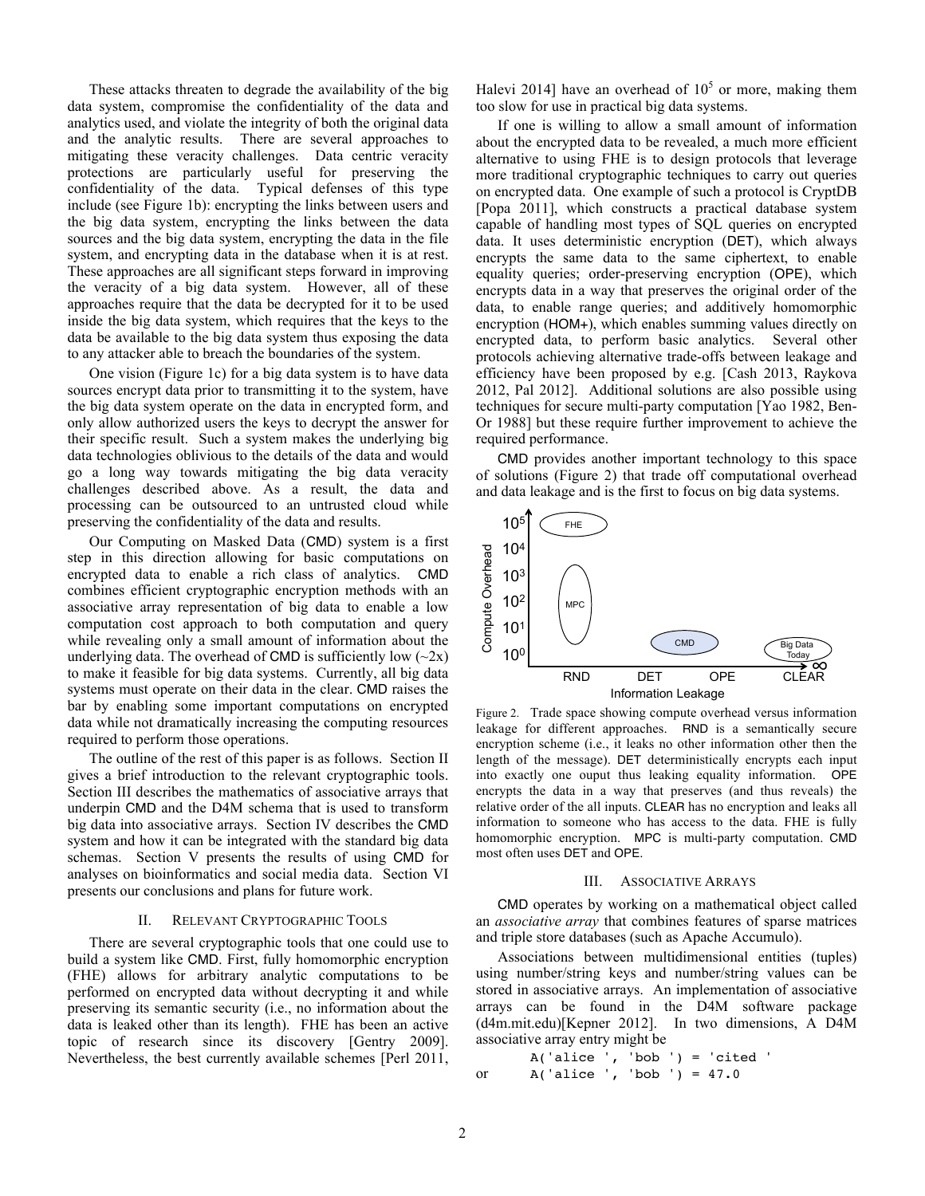These attacks threaten to degrade the availability of the big data system, compromise the confidentiality of the data and analytics used, and violate the integrity of both the original data and the analytic results. There are several approaches to mitigating these veracity challenges. Data centric veracity protections are particularly useful for preserving the confidentiality of the data. Typical defenses of this type include (see Figure 1b): encrypting the links between users and the big data system, encrypting the links between the data sources and the big data system, encrypting the data in the file system, and encrypting data in the database when it is at rest. These approaches are all significant steps forward in improving the veracity of a big data system. However, all of these approaches require that the data be decrypted for it to be used inside the big data system, which requires that the keys to the data be available to the big data system thus exposing the data to any attacker able to breach the boundaries of the system.

One vision (Figure 1c) for a big data system is to have data sources encrypt data prior to transmitting it to the system, have the big data system operate on the data in encrypted form, and only allow authorized users the keys to decrypt the answer for their specific result. Such a system makes the underlying big data technologies oblivious to the details of the data and would go a long way towards mitigating the big data veracity challenges described above. As a result, the data and processing can be outsourced to an untrusted cloud while preserving the confidentiality of the data and results.

Our Computing on Masked Data (CMD) system is a first step in this direction allowing for basic computations on encrypted data to enable a rich class of analytics. CMD combines efficient cryptographic encryption methods with an associative array representation of big data to enable a low computation cost approach to both computation and query while revealing only a small amount of information about the underlying data. The overhead of CMD is sufficiently low  $(\sim 2x)$ to make it feasible for big data systems. Currently, all big data systems must operate on their data in the clear. CMD raises the bar by enabling some important computations on encrypted data while not dramatically increasing the computing resources required to perform those operations.

The outline of the rest of this paper is as follows. Section II gives a brief introduction to the relevant cryptographic tools. Section III describes the mathematics of associative arrays that underpin CMD and the D4M schema that is used to transform big data into associative arrays. Section IV describes the CMD system and how it can be integrated with the standard big data schemas. Section V presents the results of using CMD for analyses on bioinformatics and social media data. Section VI presents our conclusions and plans for future work.

#### II. RELEVANT CRYPTOGRAPHIC TOOLS

There are several cryptographic tools that one could use to build a system like CMD. First, fully homomorphic encryption (FHE) allows for arbitrary analytic computations to be performed on encrypted data without decrypting it and while preserving its semantic security (i.e., no information about the data is leaked other than its length). FHE has been an active topic of research since its discovery [Gentry 2009]. Nevertheless, the best currently available schemes [Perl 2011,

Halevi 2014] have an overhead of  $10^5$  or more, making them too slow for use in practical big data systems.

If one is willing to allow a small amount of information about the encrypted data to be revealed, a much more efficient alternative to using FHE is to design protocols that leverage more traditional cryptographic techniques to carry out queries on encrypted data. One example of such a protocol is CryptDB [Popa 2011], which constructs a practical database system capable of handling most types of SQL queries on encrypted data. It uses deterministic encryption (DET), which always encrypts the same data to the same ciphertext, to enable equality queries; order-preserving encryption (OPE), which encrypts data in a way that preserves the original order of the data, to enable range queries; and additively homomorphic encryption (HOM+), which enables summing values directly on encrypted data, to perform basic analytics. Several other protocols achieving alternative trade-offs between leakage and efficiency have been proposed by e.g. [Cash 2013, Raykova 2012, Pal 2012]. Additional solutions are also possible using techniques for secure multi-party computation [Yao 1982, Ben-Or 1988] but these require further improvement to achieve the required performance.

CMD provides another important technology to this space of solutions (Figure 2) that trade off computational overhead and data leakage and is the first to focus on big data systems.



Figure 2. Trade space showing compute overhead versus information leakage for different approaches. RND is a semantically secure encryption scheme (i.e., it leaks no other information other then the length of the message). DET deterministically encrypts each input into exactly one ouput thus leaking equality information. OPE encrypts the data in a way that preserves (and thus reveals) the relative order of the all inputs. CLEAR has no encryption and leaks all information to someone who has access to the data. FHE is fully homomorphic encryption. MPC is multi-party computation. CMD most often uses DET and OPE.

## III. ASSOCIATIVE ARRAYS

CMD operates by working on a mathematical object called an *associative array* that combines features of sparse matrices and triple store databases (such as Apache Accumulo).

Associations between multidimensional entities (tuples) using number/string keys and number/string values can be stored in associative arrays. An implementation of associative arrays can be found in the D4M software package (d4m.mit.edu)[Kepner 2012]. In two dimensions, A D4M associative array entry might be

```
A('alice ', 'bob ') = 'cited 'or A('alice ', 'bob ') = 47.0
```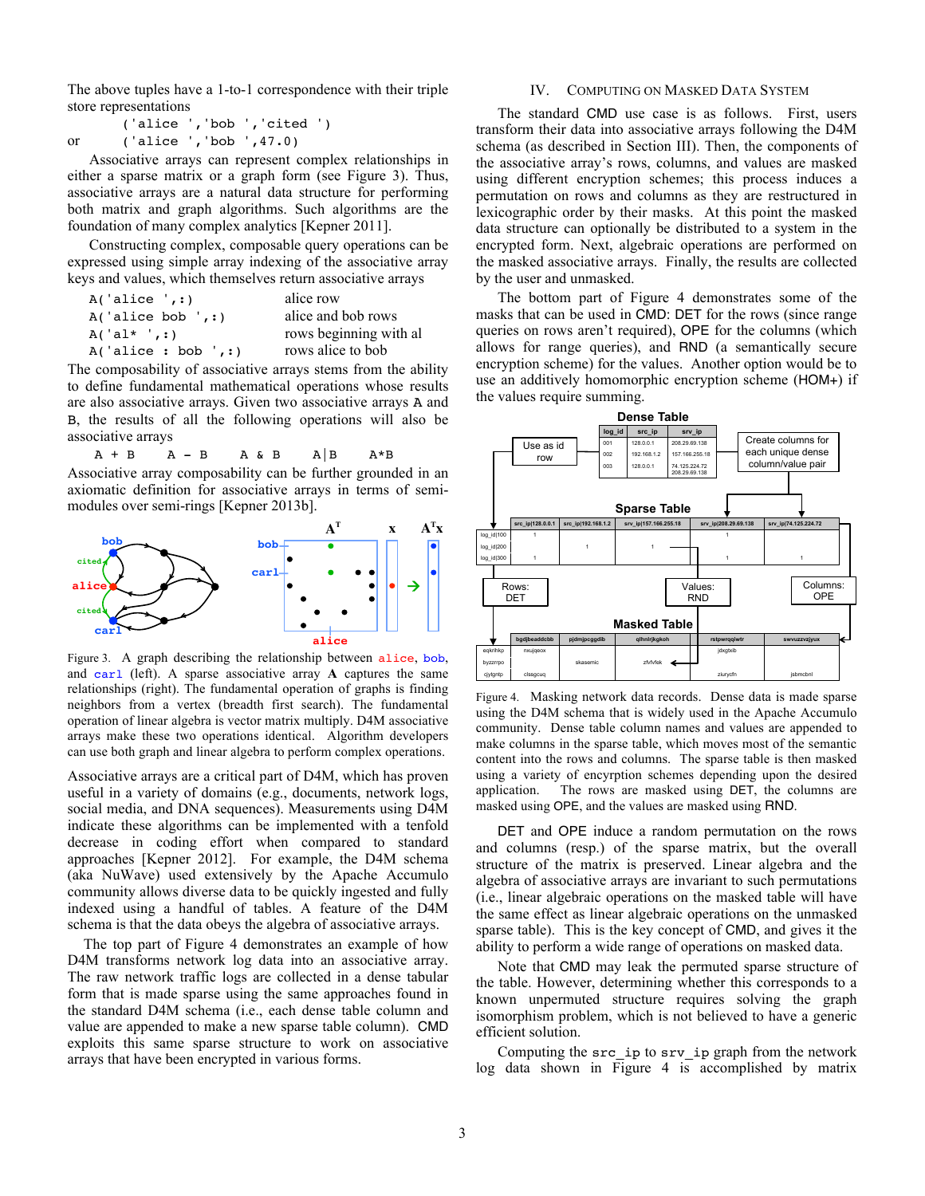The above tuples have a 1-to-1 correspondence with their triple store representations

|    |                          | ('alice ', 'bob ', 'cited ') |  |
|----|--------------------------|------------------------------|--|
| or | ('alice ', 'bob ', 47.0) |                              |  |

Associative arrays can represent complex relationships in either a sparse matrix or a graph form (see Figure 3). Thus, associative arrays are a natural data structure for performing both matrix and graph algorithms. Such algorithms are the foundation of many complex analytics [Kepner 2011].

Constructing complex, composable query operations can be expressed using simple array indexing of the associative array keys and values, which themselves return associative arrays

| A('alice ', : )      | alice row              |
|----------------------|------------------------|
| A('alice bob ', : )  | alice and bob rows     |
| $A('al*',:')$        | rows beginning with al |
| A('alice : bob ', :) | rows alice to bob      |

The composability of associative arrays stems from the ability to define fundamental mathematical operations whose results are also associative arrays. Given two associative arrays A and B, the results of all the following operations will also be associative arrays

 $A + B$   $A - B$   $A \& B$   $A|B$   $A*B$ 

Associative array composability can be further grounded in an axiomatic definition for associative arrays in terms of semimodules over semi-rings [Kepner 2013b].



Figure 3. A graph describing the relationship between alice, bob, and carl (left). A sparse associative array **A** captures the same relationships (right). The fundamental operation of graphs is finding neighbors from a vertex (breadth first search). The fundamental operation of linear algebra is vector matrix multiply. D4M associative arrays make these two operations identical. Algorithm developers can use both graph and linear algebra to perform complex operations.

Associative arrays are a critical part of D4M, which has proven useful in a variety of domains (e.g., documents, network logs, social media, and DNA sequences). Measurements using D4M indicate these algorithms can be implemented with a tenfold decrease in coding effort when compared to standard approaches [Kepner 2012]. For example, the D4M schema (aka NuWave) used extensively by the Apache Accumulo community allows diverse data to be quickly ingested and fully indexed using a handful of tables. A feature of the D4M schema is that the data obeys the algebra of associative arrays.

The top part of Figure 4 demonstrates an example of how D4M transforms network log data into an associative array. The raw network traffic logs are collected in a dense tabular form that is made sparse using the same approaches found in the standard D4M schema (i.e., each dense table column and value are appended to make a new sparse table column). CMD exploits this same sparse structure to work on associative arrays that have been encrypted in various forms.

## IV. COMPUTING ON MASKED DATA SYSTEM

The standard CMD use case is as follows. First, users transform their data into associative arrays following the D4M schema (as described in Section III). Then, the components of the associative array's rows, columns, and values are masked using different encryption schemes; this process induces a permutation on rows and columns as they are restructured in lexicographic order by their masks. At this point the masked data structure can optionally be distributed to a system in the encrypted form. Next, algebraic operations are performed on the masked associative arrays. Finally, the results are collected by the user and unmasked.

The bottom part of Figure 4 demonstrates some of the masks that can be used in CMD: DET for the rows (since range queries on rows aren't required), OPE for the columns (which allows for range queries), and RND (a semantically secure encryption scheme) for the values. Another option would be to use an additively homomorphic encryption scheme (HOM+) if the values require summing.



Figure 4. Masking network data records. Dense data is made sparse using the D4M schema that is widely used in the Apache Accumulo community. Dense table column names and values are appended to make columns in the sparse table, which moves most of the semantic content into the rows and columns. The sparse table is then masked using a variety of encyrption schemes depending upon the desired application. The rows are masked using DET, the columns are masked using OPE, and the values are masked using RND.

DET and OPE induce a random permutation on the rows and columns (resp.) of the sparse matrix, but the overall structure of the matrix is preserved. Linear algebra and the algebra of associative arrays are invariant to such permutations (i.e., linear algebraic operations on the masked table will have the same effect as linear algebraic operations on the unmasked sparse table). This is the key concept of CMD, and gives it the ability to perform a wide range of operations on masked data.

Note that CMD may leak the permuted sparse structure of the table. However, determining whether this corresponds to a known unpermuted structure requires solving the graph isomorphism problem, which is not believed to have a generic efficient solution.

Computing the src\_ip to srv\_ip graph from the network log data shown in Figure 4 is accomplished by matrix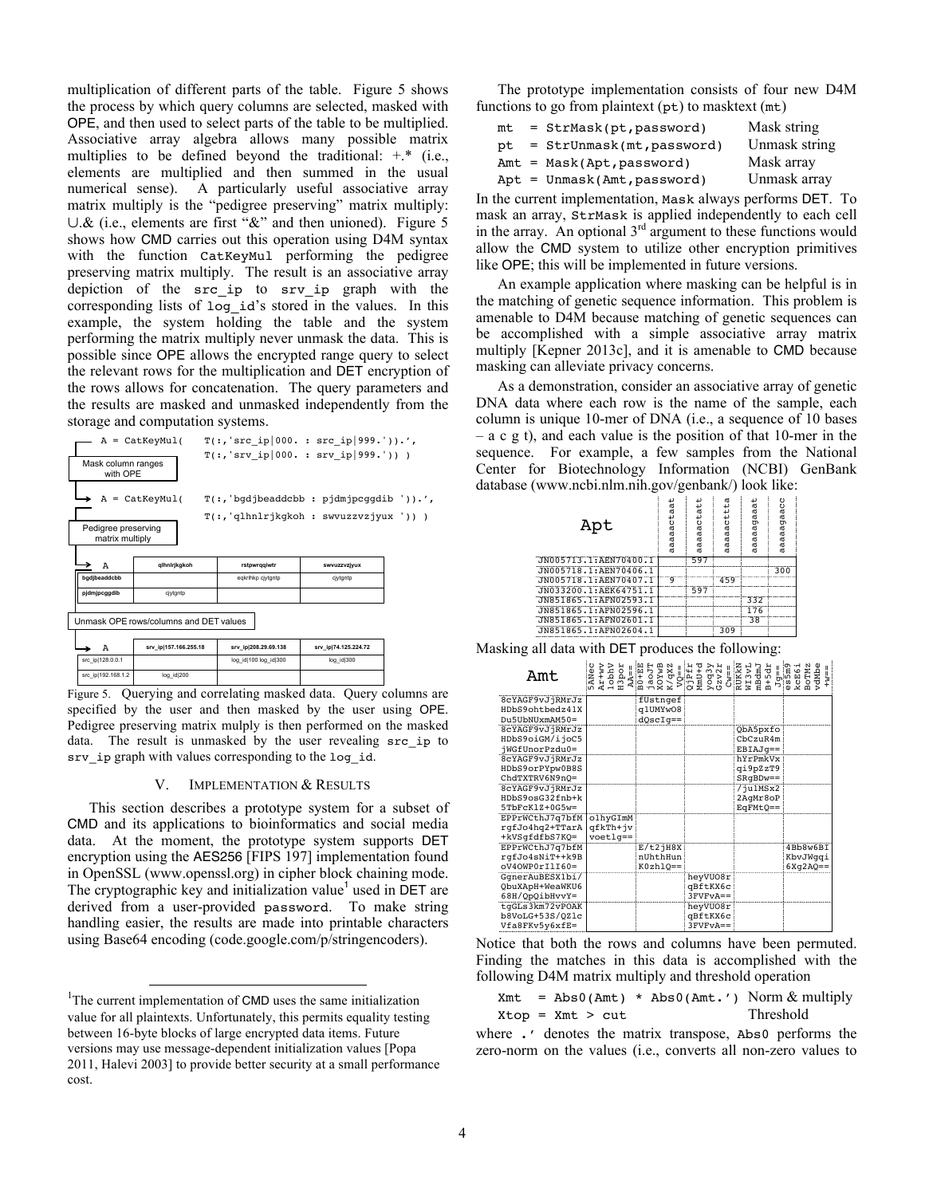multiplication of different parts of the table. Figure 5 shows the process by which query columns are selected, masked with OPE, and then used to select parts of the table to be multiplied. Associative array algebra allows many possible matrix multiplies to be defined beyond the traditional:  $+$ <sup>\*</sup> (i.e., elements are multiplied and then summed in the usual numerical sense). A particularly useful associative array matrix multiply is the "pedigree preserving" matrix multiply: ∪.& (i.e., elements are first "&" and then unioned). Figure 5 shows how CMD carries out this operation using D4M syntax with the function CatKeyMul performing the pedigree preserving matrix multiply. The result is an associative array depiction of the src\_ip to srv\_ip graph with the corresponding lists of log\_id's stored in the values. In this example, the system holding the table and the system performing the matrix multiply never unmask the data. This is possible since OPE allows the encrypted range query to select the relevant rows for the multiplication and DET encryption of the rows allows for concatenation. The query parameters and the results are masked and unmasked independently from the storage and computation systems.

| Mask column ranges<br>with OPE         | A = CatKeyMul(                         | $T(:, 'src ip 000. : src ip 999.')).'$ ,<br>$T(:, 'STV 1p   000. : STV 1p   999.')) )$ |                      |  |
|----------------------------------------|----------------------------------------|----------------------------------------------------------------------------------------|----------------------|--|
|                                        | $A = CatKeyMul($                       | $T(:, 'bqdjbeaddcbb : pjdmjpcqqdib ')).'$                                              |                      |  |
| Pedigree preserving<br>matrix multiply |                                        | T(:,'qlhnlrjkqkoh: swvuzzvzjyux'))                                                     |                      |  |
| A                                      | qihnirjkgkoh                           | rstpwrqqiwtr                                                                           | swyuzzyzjyux         |  |
| badibeaddcbb<br>pjdmjpcggdib           | civtgntp                               | eqkrihkp cjytgntp                                                                      | cjytgntp             |  |
|                                        |                                        |                                                                                        |                      |  |
|                                        | Unmask OPE rows/columns and DET values |                                                                                        |                      |  |
| Α                                      | srv ip 157.166.255.18                  | srv ip 208.29.69.138                                                                   | srv ip 74.125.224.72 |  |
| src ip 128.0.0.1                       |                                        | log id 100 log id 300                                                                  | log id 300           |  |

Figure 5. Querying and correlating masked data. Query columns are specified by the user and then masked by the user using OPE. Pedigree preserving matrix mulply is then performed on the masked data. The result is unmasked by the user revealing src\_ip to srv\_ip graph with values corresponding to the log\_id.

#### V. IMPLEMENTATION & RESULTS

This section describes a prototype system for a subset of CMD and its applications to bioinformatics and social media data. At the moment, the prototype system supports DET encryption using the AES256 [FIPS 197] implementation found in OpenSSL (www.openssl.org) in cipher block chaining mode. The cryptographic key and initialization value<sup>1</sup> used in DET are derived from a user-provided password. To make string handling easier, the results are made into printable characters using Base64 encoding (code.google.com/p/stringencoders).

The prototype implementation consists of four new D4M functions to go from plaintext  $(pt)$  to masktext  $(mt)$ 

|  | Mask string                                                                                                         |
|--|---------------------------------------------------------------------------------------------------------------------|
|  | Unmask string                                                                                                       |
|  | Mask array                                                                                                          |
|  | Unmask array                                                                                                        |
|  | = StrMask(pt,password)<br>= StrUnmask(mt, password)<br>$Amt = Mask(Apt, password)$<br>$Apt = Ummask(Amt, password)$ |

In the current implementation, Mask always performs DET. To mask an array,  $strMask$  is applied independently to each cell in the array. An optional  $3^{rd}$  argument to these functions would allow the CMD system to utilize other encryption primitives like OPE; this will be implemented in future versions.

An example application where masking can be helpful is in the matching of genetic sequence information. This problem is amenable to D4M because matching of genetic sequences can be accomplished with a simple associative array matrix multiply [Kepner 2013c], and it is amenable to CMD because masking can alleviate privacy concerns.

As a demonstration, consider an associative array of genetic DNA data where each row is the name of the sample, each column is unique 10-mer of DNA (i.e., a sequence of 10 bases – a c g t), and each value is the position of that 10-mer in the sequence. For example, a few samples from the National Center for Biotechnology Information (NCBI) GenBank database (www.ncbi.nlm.nih.gov/genbank/) look like:

| Apt                   | aaaaactaat | aaaactatt<br>ā | aaaaacttta | aaaagaaat<br>đ | υ<br>aaaagaac<br>œ |
|-----------------------|------------|----------------|------------|----------------|--------------------|
| JN005713.1:AEN70400.1 |            | 597            |            |                |                    |
| JN005718.1:AEN70406.1 |            |                |            |                | 300                |
| JN005718.1:AEN70407.1 | q          |                | 459        |                |                    |
| JN033200.1:AEK64751.1 |            | 597            |            |                |                    |
| JN851865.1:AFN02593.1 |            |                |            | 332            |                    |
| JN851865.1:AFN02596.1 |            |                |            | 176            |                    |
| JN851865.1:AFN02601.1 |            |                |            | 38             |                    |
| JN851865.1:AFN02604.1 |            |                | 309        |                |                    |
|                       |            |                |            |                |                    |

Masking all data with DET produces the following:

| Amt               | <b>JANec</b> |                                      | $\begin{array}{l} \texttt{At} + \texttt{w} \texttt{v} \\ \texttt{A} \texttt{1} \texttt{obj} \\ \texttt{1} \texttt{obj} \\ \texttt{1} \texttt{obj} \\ \texttt{1} \texttt{obj} \\ \texttt{1} \texttt{obj} \\ \texttt{1} \texttt{obj} \\ \texttt{1} \texttt{obj} \\ \texttt{1} \texttt{obj} \\ \texttt{1} \texttt{obj} \\ \texttt{1} \texttt{obj} \\ \texttt{1} \texttt{obj} \\ \texttt{1} \texttt{obj} \\ \texttt{1} \texttt{obj} \\ \texttt{1} \texttt{obj} \\ \texttt{1$ |             | $Jg==$<br>es5m9<br>kcE6i<br>BoTMz<br>rdMbe<br>== #H |
|-------------------|--------------|--------------------------------------|--------------------------------------------------------------------------------------------------------------------------------------------------------------------------------------------------------------------------------------------------------------------------------------------------------------------------------------------------------------------------------------------------------------------------------------------------------------------------|-------------|-----------------------------------------------------|
| 8cYAGF9vJjRMrJz   |              | fUstngef                             |                                                                                                                                                                                                                                                                                                                                                                                                                                                                          |             |                                                     |
| HDbS9ohtbedz41X   |              | q1UMYw08                             |                                                                                                                                                                                                                                                                                                                                                                                                                                                                          |             |                                                     |
| $Du$ 5UbNUxmAM50= |              | $dQscIq ==$                          |                                                                                                                                                                                                                                                                                                                                                                                                                                                                          |             |                                                     |
| 8cYAGF9vJjRMrJz   |              |                                      |                                                                                                                                                                                                                                                                                                                                                                                                                                                                          | QbA5pxfo    |                                                     |
| HDbS9oiGM/ijoC5   |              |                                      |                                                                                                                                                                                                                                                                                                                                                                                                                                                                          | ChCzuR4m    |                                                     |
| jWGfUnorPzdu0=    |              |                                      |                                                                                                                                                                                                                                                                                                                                                                                                                                                                          | $EBIAJq==$  |                                                     |
| 8cYAGF9vJjRMrJz   |              |                                      |                                                                                                                                                                                                                                                                                                                                                                                                                                                                          | hYrPmkVx    |                                                     |
| HDbS9orPYpw0B8S   |              |                                      |                                                                                                                                                                                                                                                                                                                                                                                                                                                                          | qi9pZzT9    |                                                     |
| ChdTXTRV6N9nO=    |              |                                      |                                                                                                                                                                                                                                                                                                                                                                                                                                                                          | $SRqBDw ==$ |                                                     |
| 8cYAGF9vJjRMrJz   |              |                                      |                                                                                                                                                                                                                                                                                                                                                                                                                                                                          | $7$ ju1MSx2 |                                                     |
| HDbS9osG32fnb+k   |              |                                      |                                                                                                                                                                                                                                                                                                                                                                                                                                                                          | 2AqMr8oP    |                                                     |
| $5TbFcK1Z+0G5w=$  |              |                                      |                                                                                                                                                                                                                                                                                                                                                                                                                                                                          | $EGFMtQ ==$ |                                                     |
| EPPrWCthJ7q7bfM   | olhyGImM     |                                      |                                                                                                                                                                                                                                                                                                                                                                                                                                                                          |             |                                                     |
| rgfJo4hq2+TTarA   | qfkTh+jv     |                                      |                                                                                                                                                                                                                                                                                                                                                                                                                                                                          |             |                                                     |
| +kVSqfdfbS7KQ=    | $v$ oetlg==  |                                      |                                                                                                                                                                                                                                                                                                                                                                                                                                                                          |             |                                                     |
| EPPrWCthJ7q7bfM   |              | $E/t2$ <sup><math>1</math></sup> H8X |                                                                                                                                                                                                                                                                                                                                                                                                                                                                          |             | 4Bb8w6BI                                            |
| rqfJo4sNiT++k9B   |              | nUhthHun                             |                                                                                                                                                                                                                                                                                                                                                                                                                                                                          |             | KbvJWqqi                                            |
| $oV40WP0r11760=$  |              | $K0zh1Q==$                           |                                                                                                                                                                                                                                                                                                                                                                                                                                                                          |             | $6Xq2AQ ==$                                         |
| GqnerAuBESX1bi/   |              |                                      | heyVU08r                                                                                                                                                                                                                                                                                                                                                                                                                                                                 |             |                                                     |
| QbuXApH+WeaWKU6   |              |                                      | qBftKX6c                                                                                                                                                                                                                                                                                                                                                                                                                                                                 |             |                                                     |
| 68H/QpQibHvvY=    |              |                                      | $3$ FVF $vA ==$                                                                                                                                                                                                                                                                                                                                                                                                                                                          |             |                                                     |
| tqGLs3km72vPOAK   |              |                                      | heyVU08r                                                                                                                                                                                                                                                                                                                                                                                                                                                                 |             |                                                     |
| b8VoLG+53S/QZ1c   |              |                                      | qBftKX6c                                                                                                                                                                                                                                                                                                                                                                                                                                                                 |             |                                                     |
| Vfa8FKv5y6xfE=    |              |                                      | $3$ $FVFVA ==$                                                                                                                                                                                                                                                                                                                                                                                                                                                           |             |                                                     |

Notice that both the rows and columns have been permuted. Finding the matches in this data is accomplished with the following D4M matrix multiply and threshold operation

```
Xmt = Abs0(Amt) * Abs0(Amt.') Norm & multiplyXtop = Xmt > cut Threshold
```
where . ' denotes the matrix transpose, Abs0 performs the zero-norm on the values (i.e., converts all non-zero values to

<sup>&</sup>lt;sup>1</sup>The current implementation of CMD uses the same initialization value for all plaintexts. Unfortunately, this permits equality testing between 16-byte blocks of large encrypted data items. Future versions may use message-dependent initialization values [Popa 2011, Halevi 2003] to provide better security at a small performance cost.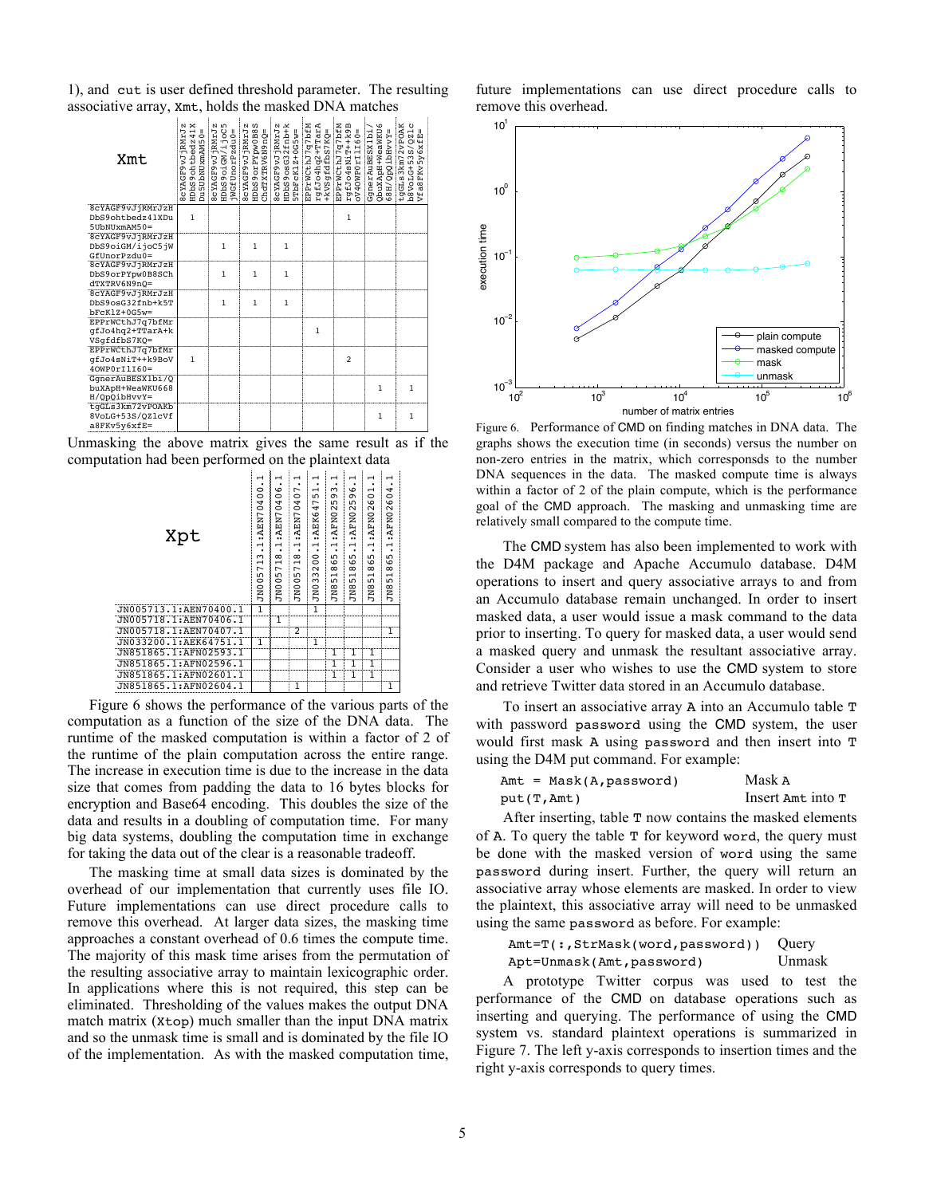1), and cut is user defined threshold parameter. The resulting associative array, Xmt, holds the masked DNA matches

| Xmt                     | ×<br><b>SCYAGF9VJjRMrJz</b><br>$\blacksquare$<br>$\overline{0}$<br>HDbS9ohtbedz4<br>Du5UbNUxmAM5 | <b>SCYAGF9VJJRMrJz</b><br>HDbS9oiGM/ijoC5<br>jWGfUnorPzdu0= | <b>SCYAGF9vJRMrJz</b><br>HDbS9orPYpw0B8S<br>-pagnewarxrews | HDbS9osG32fnb+k<br>8cYAGF9vJjRMrJz<br>$5TbFcK1Z+0G5w=$ | EPPrWCthJ7q7bfM<br>rgfJo4hq2+TTarA<br>+kVSgfdfbS7KQ= | EPPrWCthJ7q7bfM<br>rgfJo4sNiT++k9B<br>=09ITI10GMOtAC | QbuXApH+WeaWKU6<br>GgnerAuBESX1bi<br>=XAAHq!OdO/H89 | tgGLs3km72vPOAK<br>υ<br>$\vec{a}$<br>闽<br>$\circ$<br>₩<br>FKv5y6x<br>b8VoLG+53S/<br>$\frac{8}{6}$<br>۴ŕ |
|-------------------------|--------------------------------------------------------------------------------------------------|-------------------------------------------------------------|------------------------------------------------------------|--------------------------------------------------------|------------------------------------------------------|------------------------------------------------------|-----------------------------------------------------|---------------------------------------------------------------------------------------------------------|
| 8cYAGF9vJjRMrJzH        |                                                                                                  |                                                             |                                                            |                                                        |                                                      |                                                      |                                                     |                                                                                                         |
| DbS9ohtbedz41XDu        | $\mathbf{1}$                                                                                     |                                                             |                                                            |                                                        |                                                      | 1                                                    |                                                     |                                                                                                         |
| $5$ UbNU $x$ m $AM50 =$ |                                                                                                  |                                                             |                                                            |                                                        |                                                      |                                                      |                                                     |                                                                                                         |
| 8cYAGF9vJjRMrJzH        |                                                                                                  |                                                             |                                                            |                                                        |                                                      |                                                      |                                                     |                                                                                                         |
| DbS9oiGM/ijoC5jW        |                                                                                                  | 1                                                           | $\mathbf{1}$                                               | $\mathbf{1}$                                           |                                                      |                                                      |                                                     |                                                                                                         |
| $GfUnorPzdu0=$          |                                                                                                  |                                                             |                                                            |                                                        |                                                      |                                                      |                                                     |                                                                                                         |
| 8cYAGF9vJjRMrJzH        |                                                                                                  |                                                             |                                                            |                                                        |                                                      |                                                      |                                                     |                                                                                                         |
| DbS9orPYpw0B8SCh        |                                                                                                  | $\mathbf{1}$                                                | 1                                                          | $\mathbf{1}$                                           |                                                      |                                                      |                                                     |                                                                                                         |
| dTXTRV6N9nO=            |                                                                                                  |                                                             |                                                            |                                                        |                                                      |                                                      |                                                     |                                                                                                         |
| 8cYAGF9vJjRMrJzH        |                                                                                                  |                                                             |                                                            |                                                        |                                                      |                                                      |                                                     |                                                                                                         |
| DbS9osG32fnb+k5T        |                                                                                                  | $\mathbf{1}$                                                | $\mathbf{1}$                                               | $\mathbf{1}$                                           |                                                      |                                                      |                                                     |                                                                                                         |
| $bFcK1Z+0G5w=$          |                                                                                                  |                                                             |                                                            |                                                        |                                                      |                                                      |                                                     |                                                                                                         |
| EPPrWCthJ7q7bfMr        |                                                                                                  |                                                             |                                                            |                                                        |                                                      |                                                      |                                                     |                                                                                                         |
| qfJo4hq2+TTarA+k        |                                                                                                  |                                                             |                                                            |                                                        | $\mathbf{1}$                                         |                                                      |                                                     |                                                                                                         |
| VSqfdfbS7KQ=            |                                                                                                  |                                                             |                                                            |                                                        |                                                      |                                                      |                                                     |                                                                                                         |
| EPPrWCthJ7q7bfMr        |                                                                                                  |                                                             |                                                            |                                                        |                                                      |                                                      |                                                     |                                                                                                         |
| qfJo4sNiT++k9BoV        | $\mathbf{1}$                                                                                     |                                                             |                                                            |                                                        |                                                      | $\overline{2}$                                       |                                                     |                                                                                                         |
| $40WP0r11I60=$          |                                                                                                  |                                                             |                                                            |                                                        |                                                      |                                                      |                                                     |                                                                                                         |
| GgnerAuBESX1bi/Q        |                                                                                                  |                                                             |                                                            |                                                        |                                                      |                                                      |                                                     |                                                                                                         |
| buXApH+WeaWKU668        |                                                                                                  |                                                             |                                                            |                                                        |                                                      |                                                      | 1                                                   | 1                                                                                                       |
| H/QpQibHvvY=            |                                                                                                  |                                                             |                                                            |                                                        |                                                      |                                                      |                                                     |                                                                                                         |
| tqGLs3km72vPOAKb        |                                                                                                  |                                                             |                                                            |                                                        |                                                      |                                                      |                                                     |                                                                                                         |
| 8VoLG+53S/QZlcVf        |                                                                                                  |                                                             |                                                            |                                                        |                                                      |                                                      | 1                                                   | 1                                                                                                       |
| a8FKv5v6xfE=            |                                                                                                  |                                                             |                                                            |                                                        |                                                      |                                                      |                                                     |                                                                                                         |

Unmasking the above matrix gives the same result as if the computation had been performed on the plaintext data



Figure 6 shows the performance of the various parts of the computation as a function of the size of the DNA data. The runtime of the masked computation is within a factor of 2 of the runtime of the plain computation across the entire range. The increase in execution time is due to the increase in the data size that comes from padding the data to 16 bytes blocks for encryption and Base64 encoding. This doubles the size of the data and results in a doubling of computation time. For many big data systems, doubling the computation time in exchange for taking the data out of the clear is a reasonable tradeoff.

The masking time at small data sizes is dominated by the overhead of our implementation that currently uses file IO. Future implementations can use direct procedure calls to remove this overhead. At larger data sizes, the masking time approaches a constant overhead of 0.6 times the compute time. The majority of this mask time arises from the permutation of the resulting associative array to maintain lexicographic order. In applications where this is not required, this step can be eliminated. Thresholding of the values makes the output DNA match matrix (Xtop) much smaller than the input DNA matrix and so the unmask time is small and is dominated by the file IO of the implementation. As with the masked computation time,

future implementations can use direct procedure calls to remove this overhead.



Figure 6. Performance of CMD on finding matches in DNA data. The graphs shows the execution time (in seconds) versus the number on non-zero entries in the matrix, which corresponsds to the number DNA sequences in the data. The masked compute time is always within a factor of 2 of the plain compute, which is the performance goal of the CMD approach. The masking and unmasking time are relatively small compared to the compute time.

The CMD system has also been implemented to work with the D4M package and Apache Accumulo database. D4M operations to insert and query associative arrays to and from an Accumulo database remain unchanged. In order to insert masked data, a user would issue a mask command to the data prior to inserting. To query for masked data, a user would send a masked query and unmask the resultant associative array. Consider a user who wishes to use the CMD system to store and retrieve Twitter data stored in an Accumulo database.

To insert an associative array A into an Accumulo table T with password password using the CMD system, the user would first mask A using password and then insert into T using the D4M put command. For example:

| $Amt = Mask(A, password)$ | Mask A            |
|---------------------------|-------------------|
| $put(T, \text{Amt})$      | Insert Amt into T |

After inserting, table T now contains the masked elements of A. To query the table T for keyword word, the query must be done with the masked version of word using the same password during insert. Further, the query will return an associative array whose elements are masked. In order to view the plaintext, this associative array will need to be unmasked using the same password as before. For example:

Amt=T(:,StrMask(word,password)) Ouery Apt=Unmask(Amt,password) Unmask

A prototype Twitter corpus was used to test the performance of the CMD on database operations such as inserting and querying. The performance of using the CMD system vs. standard plaintext operations is summarized in Figure 7. The left y-axis corresponds to insertion times and the right y-axis corresponds to query times.